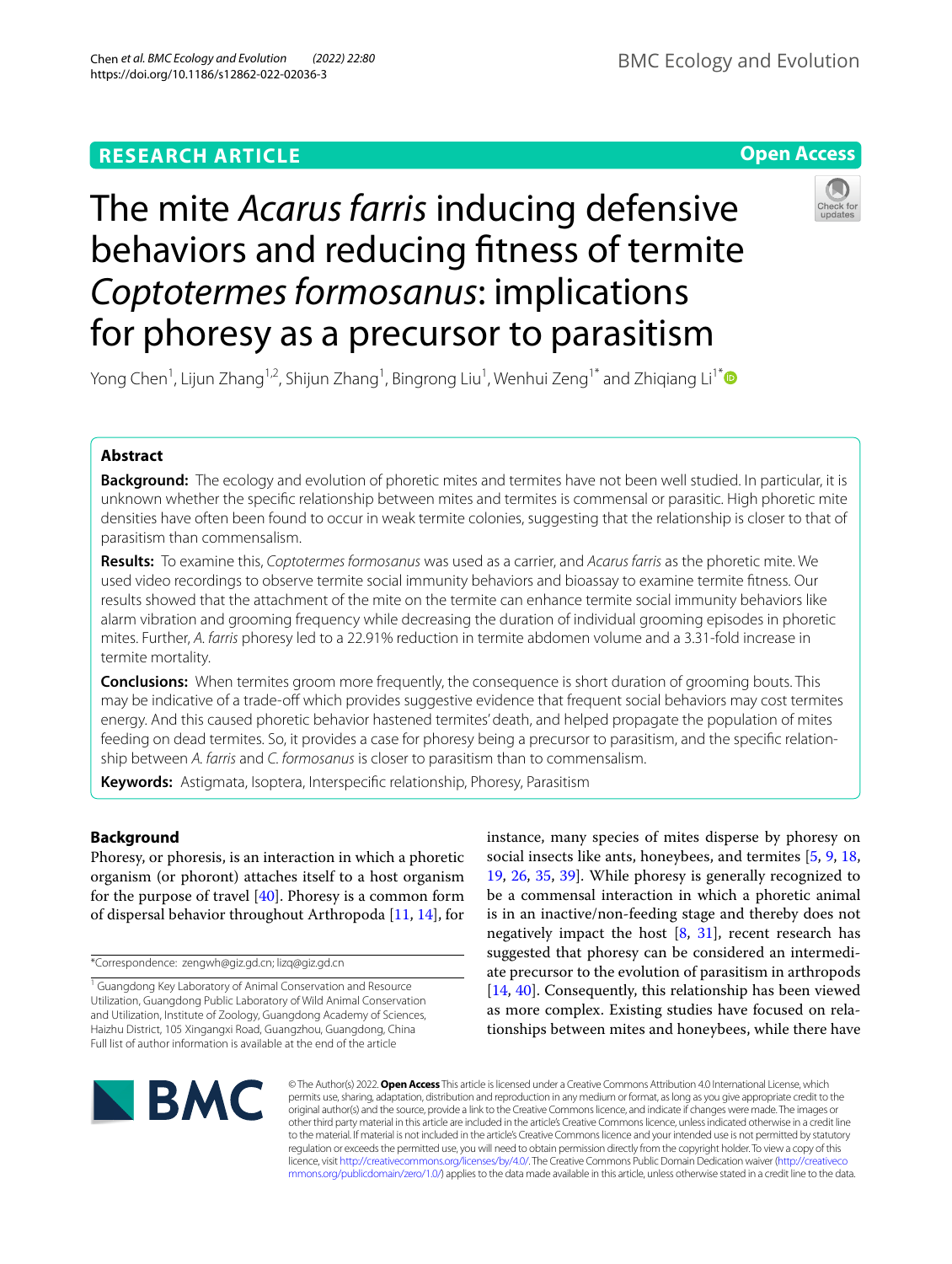# **RESEARCH ARTICLE**

**Open Access**

# The mite *Acarus farris* inducing defensive behaviors and reducing ftness of termite *Coptotermes formosanus*: implications for phoresy as a precursor to parasitism



Yong Chen<sup>1</sup>, Lijun Zhang<sup>1,2</sup>, Shijun Zhang<sup>1</sup>, Bingrong Liu<sup>1</sup>, Wenhui Zeng<sup>1\*</sup> and Zhiqiang Li<sup>1\*</sup>❶

# **Abstract**

**Background:** The ecology and evolution of phoretic mites and termites have not been well studied. In particular, it is unknown whether the specifc relationship between mites and termites is commensal or parasitic. High phoretic mite densities have often been found to occur in weak termite colonies, suggesting that the relationship is closer to that of parasitism than commensalism.

**Results:** To examine this, *Coptotermes formosanus* was used as a carrier, and *Acarus farris* as the phoretic mite. We used video recordings to observe termite social immunity behaviors and bioassay to examine termite ftness. Our results showed that the attachment of the mite on the termite can enhance termite social immunity behaviors like alarm vibration and grooming frequency while decreasing the duration of individual grooming episodes in phoretic mites. Further, *A. farris* phoresy led to a 22.91% reduction in termite abdomen volume and a 3.31-fold increase in termite mortality.

**Conclusions:** When termites groom more frequently, the consequence is short duration of grooming bouts. This may be indicative of a trade-off which provides suggestive evidence that frequent social behaviors may cost termites energy. And this caused phoretic behavior hastened termites' death, and helped propagate the population of mites feeding on dead termites. So, it provides a case for phoresy being a precursor to parasitism, and the specifc relationship between *A. farris* and *C. formosanus* is closer to parasitism than to commensalism.

**Keywords:** Astigmata, Isoptera, Interspecifc relationship, Phoresy, Parasitism

# **Background**

Phoresy, or phoresis, is an interaction in which a phoretic organism (or phoront) attaches itself to a host organism for the purpose of travel [\[40\]](#page-8-0). Phoresy is a common form of dispersal behavior throughout Arthropoda [[11,](#page-8-1) [14\]](#page-8-2), for

\*Correspondence: zengwh@giz.gd.cn; lizq@giz.gd.cn

<sup>1</sup> Guangdong Key Laboratory of Animal Conservation and Resource Utilization, Guangdong Public Laboratory of Wild Animal Conservation and Utilization, Institute of Zoology, Guangdong Academy of Sciences, Haizhu District, 105 Xingangxi Road, Guangzhou, Guangdong, China Full list of author information is available at the end of the article

instance, many species of mites disperse by phoresy on social insects like ants, honeybees, and termites [[5,](#page-8-3) [9,](#page-8-4) [18](#page-8-5), [19,](#page-8-6) [26,](#page-8-7) [35,](#page-8-8) [39](#page-8-9)]. While phoresy is generally recognized to be a commensal interaction in which a phoretic animal is in an inactive/non-feeding stage and thereby does not negatively impact the host  $[8, 31]$  $[8, 31]$  $[8, 31]$  $[8, 31]$  $[8, 31]$ , recent research has suggested that phoresy can be considered an intermediate precursor to the evolution of parasitism in arthropods [[14,](#page-8-2) [40\]](#page-8-0). Consequently, this relationship has been viewed as more complex. Existing studies have focused on relationships between mites and honeybees, while there have



© The Author(s) 2022. **Open Access** This article is licensed under a Creative Commons Attribution 4.0 International License, which permits use, sharing, adaptation, distribution and reproduction in any medium or format, as long as you give appropriate credit to the original author(s) and the source, provide a link to the Creative Commons licence, and indicate if changes were made. The images or other third party material in this article are included in the article's Creative Commons licence, unless indicated otherwise in a credit line to the material. If material is not included in the article's Creative Commons licence and your intended use is not permitted by statutory regulation or exceeds the permitted use, you will need to obtain permission directly from the copyright holder. To view a copy of this licence, visit [http://creativecommons.org/licenses/by/4.0/.](http://creativecommons.org/licenses/by/4.0/) The Creative Commons Public Domain Dedication waiver ([http://creativeco](http://creativecommons.org/publicdomain/zero/1.0/) [mmons.org/publicdomain/zero/1.0/](http://creativecommons.org/publicdomain/zero/1.0/)) applies to the data made available in this article, unless otherwise stated in a credit line to the data.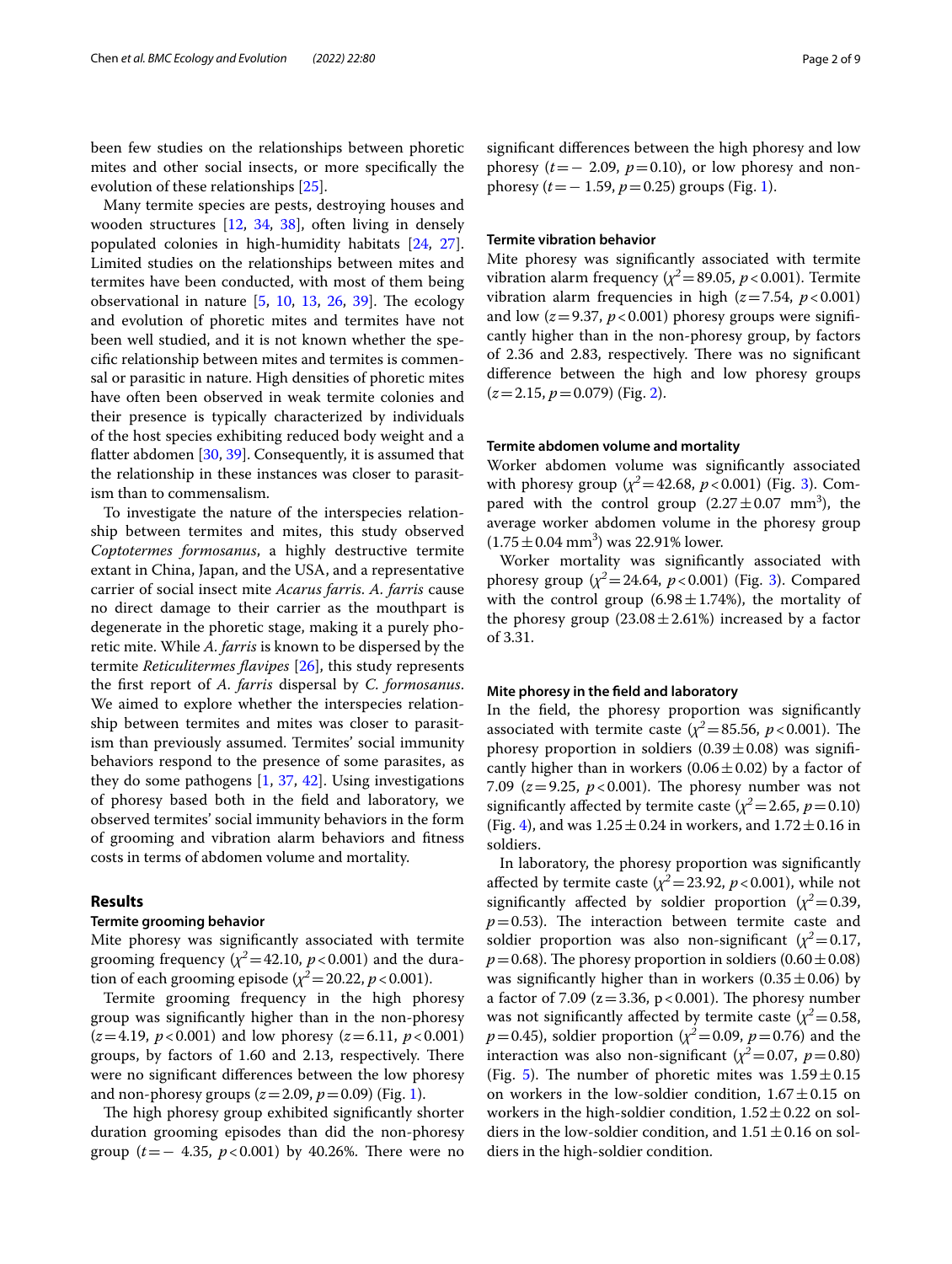been few studies on the relationships between phoretic mites and other social insects, or more specifcally the evolution of these relationships [[25\]](#page-8-12).

Many termite species are pests, destroying houses and wooden structures [[12](#page-8-13), [34,](#page-8-14) [38](#page-8-15)], often living in densely populated colonies in high-humidity habitats [\[24](#page-8-16), [27](#page-8-17)]. Limited studies on the relationships between mites and termites have been conducted, with most of them being observational in nature  $[5, 10, 13, 26, 39]$  $[5, 10, 13, 26, 39]$  $[5, 10, 13, 26, 39]$  $[5, 10, 13, 26, 39]$  $[5, 10, 13, 26, 39]$  $[5, 10, 13, 26, 39]$  $[5, 10, 13, 26, 39]$  $[5, 10, 13, 26, 39]$  $[5, 10, 13, 26, 39]$  $[5, 10, 13, 26, 39]$ . The ecology and evolution of phoretic mites and termites have not been well studied, and it is not known whether the specifc relationship between mites and termites is commensal or parasitic in nature. High densities of phoretic mites have often been observed in weak termite colonies and their presence is typically characterized by individuals of the host species exhibiting reduced body weight and a fatter abdomen [\[30,](#page-8-20) [39](#page-8-9)]. Consequently, it is assumed that the relationship in these instances was closer to parasitism than to commensalism.

To investigate the nature of the interspecies relationship between termites and mites, this study observed *Coptotermes formosanus*, a highly destructive termite extant in China, Japan, and the USA, and a representative carrier of social insect mite *Acarus farris*. *A. farris* cause no direct damage to their carrier as the mouthpart is degenerate in the phoretic stage, making it a purely phoretic mite. While *A. farris* is known to be dispersed by the termite *Reticulitermes favipes* [\[26](#page-8-7)], this study represents the frst report of *A. farris* dispersal by *C. formosanus*. We aimed to explore whether the interspecies relationship between termites and mites was closer to parasitism than previously assumed. Termites' social immunity behaviors respond to the presence of some parasites, as they do some pathogens  $[1, 37, 42]$  $[1, 37, 42]$  $[1, 37, 42]$  $[1, 37, 42]$  $[1, 37, 42]$  $[1, 37, 42]$  $[1, 37, 42]$ . Using investigations of phoresy based both in the feld and laboratory, we observed termites' social immunity behaviors in the form of grooming and vibration alarm behaviors and ftness costs in terms of abdomen volume and mortality.

## **Results**

## **Termite grooming behavior**

Mite phoresy was signifcantly associated with termite grooming frequency  $(\chi^2=42.10, p<0.001)$  and the duration of each grooming episode ( $\chi^2$  = 20.22, *p* < 0.001).

Termite grooming frequency in the high phoresy group was signifcantly higher than in the non-phoresy  $(z=4.19, p<0.001)$  and low phoresy  $(z=6.11, p<0.001)$ groups, by factors of 1.60 and 2.13, respectively. There were no signifcant diferences between the low phoresy and non-phoresy groups  $(z=2.09, p=0.09)$  (Fig. [1](#page-2-0)).

The high phoresy group exhibited significantly shorter duration grooming episodes than did the non-phoresy group ( $t=-4.35$ ,  $p < 0.001$ ) by 40.26%. There were no signifcant diferences between the high phoresy and low phoresy  $(t=- 2.09, p=0.10)$ , or low phoresy and nonphoresy (*t*=− 1.59, *p*=0.25) groups (Fig. [1\)](#page-2-0).

## **Termite vibration behavior**

Mite phoresy was signifcantly associated with termite vibration alarm frequency ( $\chi^2$  = 89.05, *p* < 0.001). Termite vibration alarm frequencies in high  $(z=7.54, p<0.001)$ and low  $(z=9.37, p<0.001)$  phoresy groups were significantly higher than in the non-phoresy group, by factors of 2.36 and 2.83, respectively. There was no significant diference between the high and low phoresy groups (*z*=2.15, *p*=0.079) (Fig. [2\)](#page-3-0).

# **Termite abdomen volume and mortality**

Worker abdomen volume was signifcantly associated with phoresy group ( $\chi^2$  = 42.68, *p* < 0.001) (Fig. [3](#page-4-0)). Compared with the control group  $(2.27 \pm 0.07 \text{ mm}^3)$ , the average worker abdomen volume in the phoresy group  $(1.75 \pm 0.04 \text{ mm}^3)$  was 22.91% lower.

Worker mortality was signifcantly associated with phoresy group  $(\chi^2 = 24.64, p < 0.001)$  (Fig. [3](#page-4-0)). Compared with the control group  $(6.98 \pm 1.74%)$ , the mortality of the phoresy group  $(23.08 \pm 2.61%)$  increased by a factor of 3.31.

### **Mite phoresy in the feld and laboratory**

In the feld, the phoresy proportion was signifcantly associated with termite caste ( $\chi^2$  = 85.56, *p* < 0.001). The phoresy proportion in soldiers  $(0.39 \pm 0.08)$  was significantly higher than in workers  $(0.06 \pm 0.02)$  by a factor of 7.09 ( $z=9.25$ ,  $p<0.001$ ). The phoresy number was not significantly affected by termite caste ( $\chi^2$  = 2.65, *p* = 0.10) (Fig. [4\)](#page-5-0), and was  $1.25 \pm 0.24$  in workers, and  $1.72 \pm 0.16$  in soldiers.

In laboratory, the phoresy proportion was signifcantly affected by termite caste  $(\chi^2 = 23.92, p < 0.001)$ , while not significantly affected by soldier proportion  $(\chi^2 = 0.39,$  $p=0.53$ ). The interaction between termite caste and soldier proportion was also non-significant  $(\chi^2=0.17,$  $p=0.68$ ). The phoresy proportion in soldiers (0.60  $\pm$  0.08) was significantly higher than in workers  $(0.35 \pm 0.06)$  by a factor of 7.09 ( $z = 3.36$ ,  $p < 0.001$ ). The phoresy number was not significantly affected by termite caste  $(\chi^2 = 0.58,$ *p*=0.45), soldier proportion ( $\chi^2$ =0.09, *p*=0.76) and the interaction was also non-significant  $(\chi^2 = 0.07, p = 0.80)$ (Fig. [5\)](#page-6-0). The number of phoretic mites was  $1.59 \pm 0.15$ on workers in the low-soldier condition,  $1.67 \pm 0.15$  on workers in the high-soldier condition,  $1.52 \pm 0.22$  on soldiers in the low-soldier condition, and  $1.51 \pm 0.16$  on soldiers in the high-soldier condition.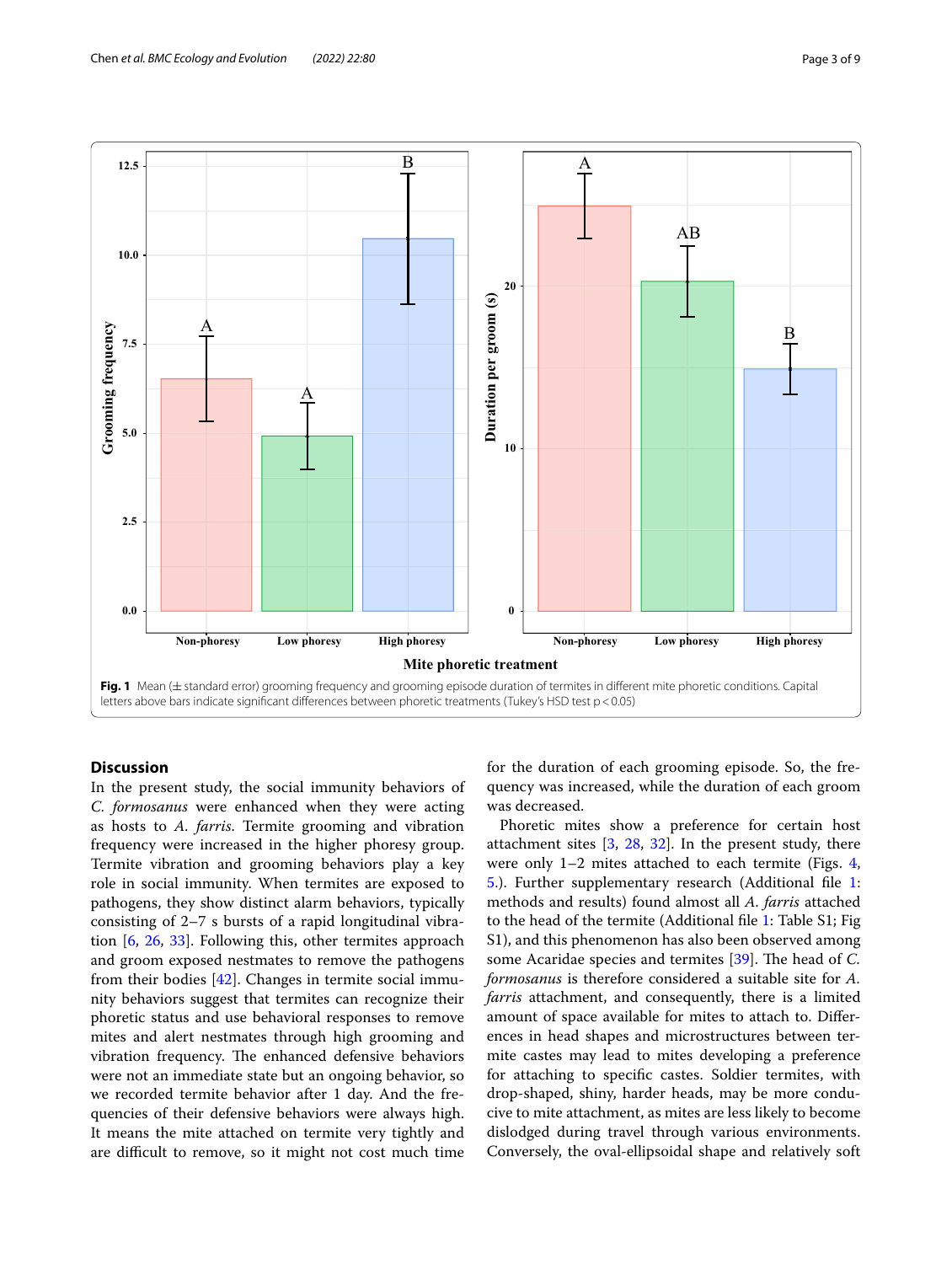

# <span id="page-2-0"></span>**Discussion**

In the present study, the social immunity behaviors of *C. formosanus* were enhanced when they were acting as hosts to *A. farris*. Termite grooming and vibration frequency were increased in the higher phoresy group. Termite vibration and grooming behaviors play a key role in social immunity. When termites are exposed to pathogens, they show distinct alarm behaviors, typically consisting of 2–7 s bursts of a rapid longitudinal vibration [[6,](#page-8-23) [26](#page-8-7), [33](#page-8-24)]. Following this, other termites approach and groom exposed nestmates to remove the pathogens from their bodies [\[42](#page-8-22)]. Changes in termite social immunity behaviors suggest that termites can recognize their phoretic status and use behavioral responses to remove mites and alert nestmates through high grooming and vibration frequency. The enhanced defensive behaviors were not an immediate state but an ongoing behavior, so we recorded termite behavior after 1 day. And the frequencies of their defensive behaviors were always high. It means the mite attached on termite very tightly and are difficult to remove, so it might not cost much time for the duration of each grooming episode. So, the frequency was increased, while the duration of each groom was decreased.

Phoretic mites show a preference for certain host attachment sites  $[3, 28, 32]$  $[3, 28, 32]$  $[3, 28, 32]$  $[3, 28, 32]$  $[3, 28, 32]$  $[3, 28, 32]$ . In the present study, there were only 1–2 mites attached to each termite (Figs. [4](#page-5-0), [5.](#page-6-0)). Further supplementary research (Additional fle [1](#page-7-1): methods and results) found almost all *A. farris* attached to the head of the termite (Additional fle [1:](#page-7-1) Table S1; Fig S1), and this phenomenon has also been observed among some Acaridae species and termites [\[39](#page-8-9)]. The head of *C*. *formosanus* is therefore considered a suitable site for *A. farris* attachment, and consequently, there is a limited amount of space available for mites to attach to. Diferences in head shapes and microstructures between termite castes may lead to mites developing a preference for attaching to specifc castes. Soldier termites, with drop-shaped, shiny, harder heads, may be more conducive to mite attachment, as mites are less likely to become dislodged during travel through various environments. Conversely, the oval-ellipsoidal shape and relatively soft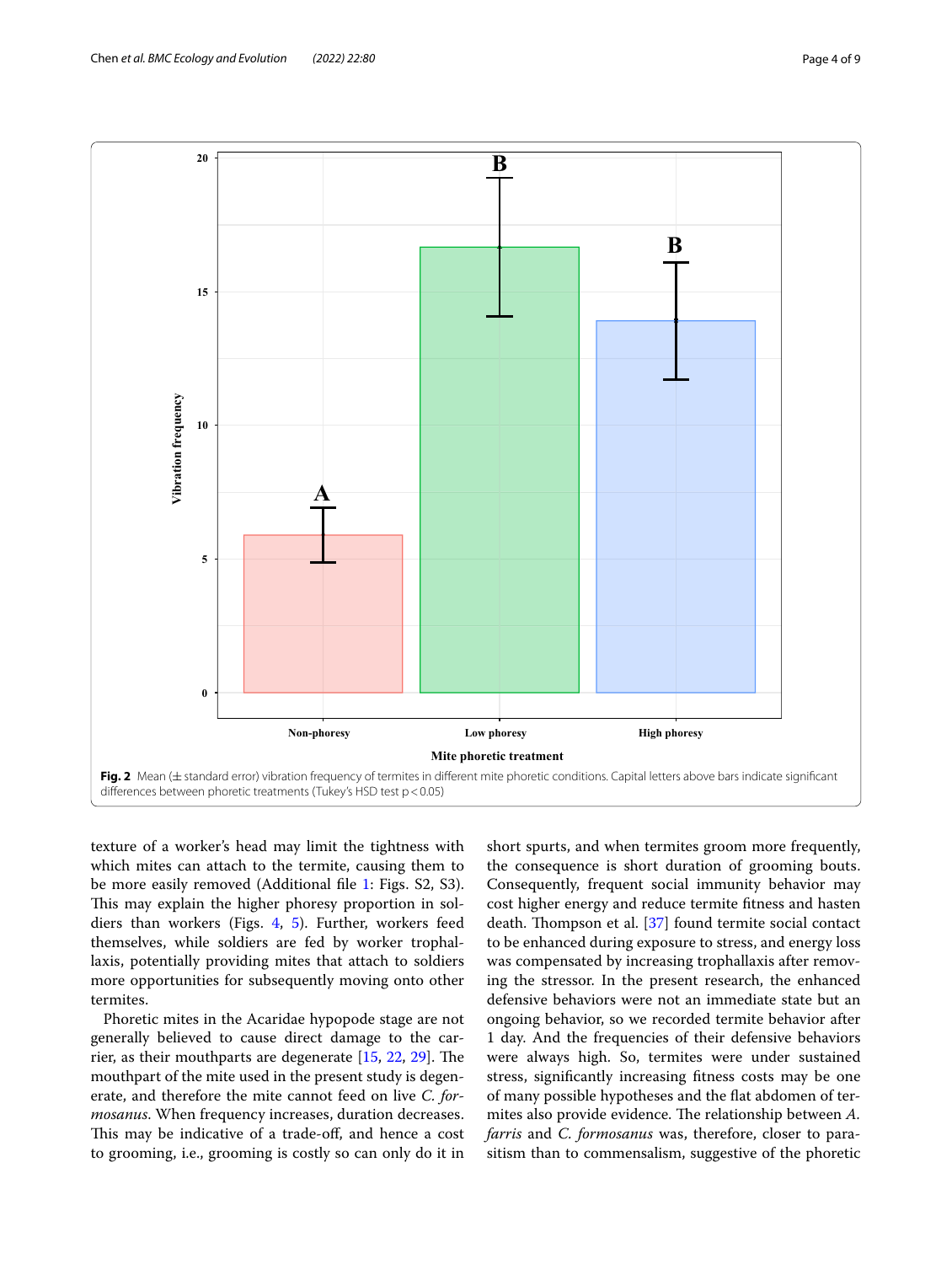

<span id="page-3-0"></span>texture of a worker's head may limit the tightness with which mites can attach to the termite, causing them to be more easily removed (Additional fle [1:](#page-7-1) Figs. S2, S3). This may explain the higher phoresy proportion in soldiers than workers (Figs. [4](#page-5-0), [5](#page-6-0)). Further, workers feed themselves, while soldiers are fed by worker trophallaxis, potentially providing mites that attach to soldiers more opportunities for subsequently moving onto other termites.

Phoretic mites in the Acaridae hypopode stage are not generally believed to cause direct damage to the carrier, as their mouthparts are degenerate  $[15, 22, 29]$  $[15, 22, 29]$  $[15, 22, 29]$  $[15, 22, 29]$  $[15, 22, 29]$  $[15, 22, 29]$ . The mouthpart of the mite used in the present study is degenerate, and therefore the mite cannot feed on live *C. formosanus*. When frequency increases, duration decreases. This may be indicative of a trade-off, and hence a cost to grooming, i.e., grooming is costly so can only do it in short spurts, and when termites groom more frequently, the consequence is short duration of grooming bouts. Consequently, frequent social immunity behavior may cost higher energy and reduce termite ftness and hasten death. Thompson et al. [[37\]](#page-8-21) found termite social contact to be enhanced during exposure to stress, and energy loss was compensated by increasing trophallaxis after removing the stressor. In the present research, the enhanced defensive behaviors were not an immediate state but an ongoing behavior, so we recorded termite behavior after 1 day. And the frequencies of their defensive behaviors were always high. So, termites were under sustained stress, signifcantly increasing ftness costs may be one of many possible hypotheses and the fat abdomen of termites also provide evidence. The relationship between A. *farris* and *C. formosanus* was, therefore, closer to parasitism than to commensalism, suggestive of the phoretic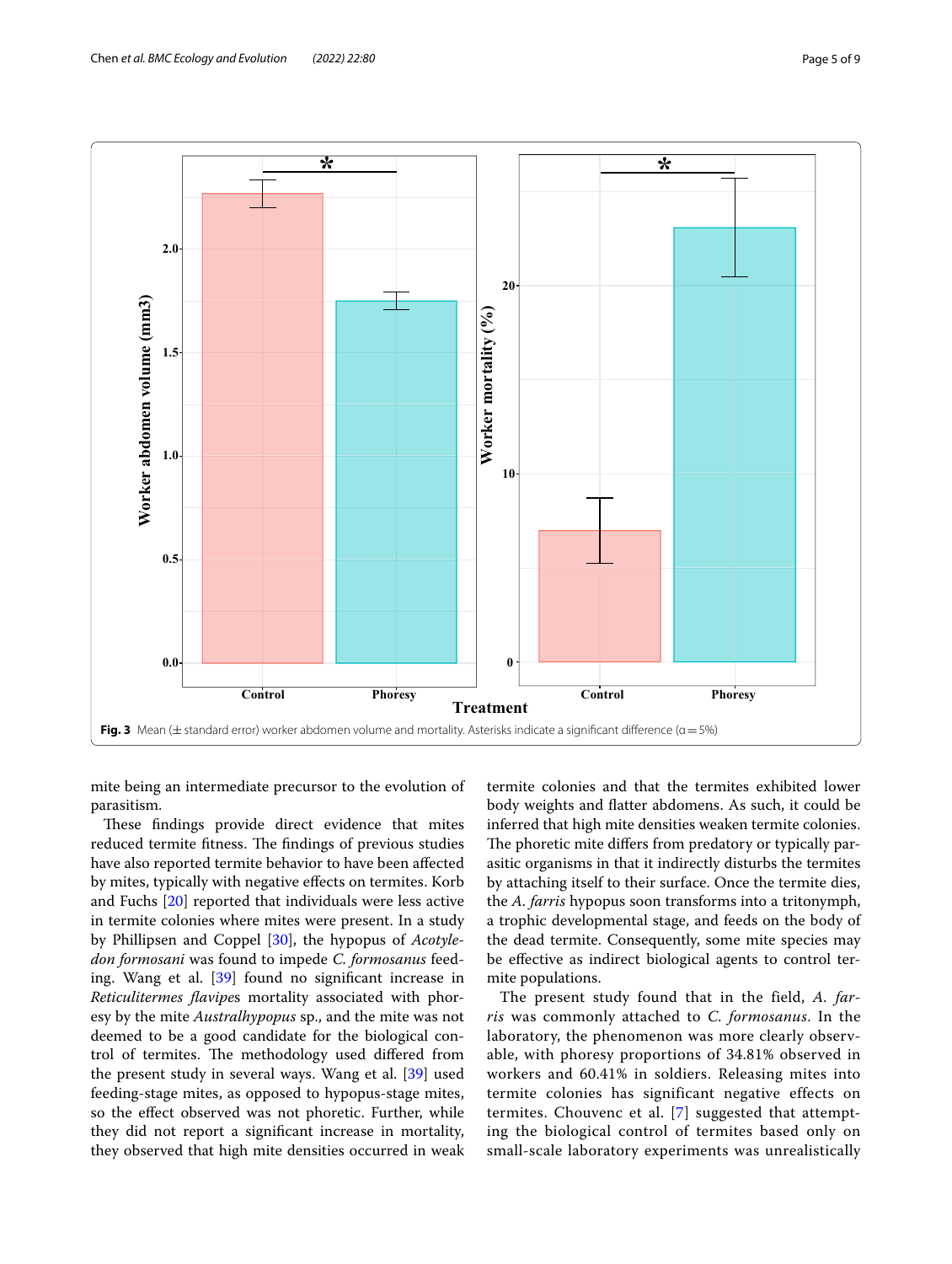

<span id="page-4-0"></span>mite being an intermediate precursor to the evolution of parasitism.

These findings provide direct evidence that mites reduced termite fitness. The findings of previous studies have also reported termite behavior to have been afected by mites, typically with negative efects on termites. Korb and Fuchs [[20\]](#page-8-31) reported that individuals were less active in termite colonies where mites were present. In a study by Phillipsen and Coppel [\[30](#page-8-20)], the hypopus of *Acotyledon formosani* was found to impede *C. formosanus* feeding. Wang et al. [\[39\]](#page-8-9) found no signifcant increase in *Reticulitermes favipe*s mortality associated with phoresy by the mite *Australhypopus* sp., and the mite was not deemed to be a good candidate for the biological control of termites. The methodology used differed from the present study in several ways. Wang et al. [\[39\]](#page-8-9) used feeding-stage mites, as opposed to hypopus-stage mites, so the efect observed was not phoretic. Further, while they did not report a signifcant increase in mortality, they observed that high mite densities occurred in weak

termite colonies and that the termites exhibited lower body weights and fatter abdomens. As such, it could be inferred that high mite densities weaken termite colonies. The phoretic mite differs from predatory or typically parasitic organisms in that it indirectly disturbs the termites by attaching itself to their surface. Once the termite dies, the *A. farris* hypopus soon transforms into a tritonymph, a trophic developmental stage, and feeds on the body of the dead termite. Consequently, some mite species may be efective as indirect biological agents to control termite populations.

The present study found that in the field, *A. farris* was commonly attached to *C. formosanus*. In the laboratory, the phenomenon was more clearly observable, with phoresy proportions of 34.81% observed in workers and 60.41% in soldiers. Releasing mites into termite colonies has significant negative effects on termites. Chouvenc et al. [[7](#page-8-32)] suggested that attempting the biological control of termites based only on small-scale laboratory experiments was unrealistically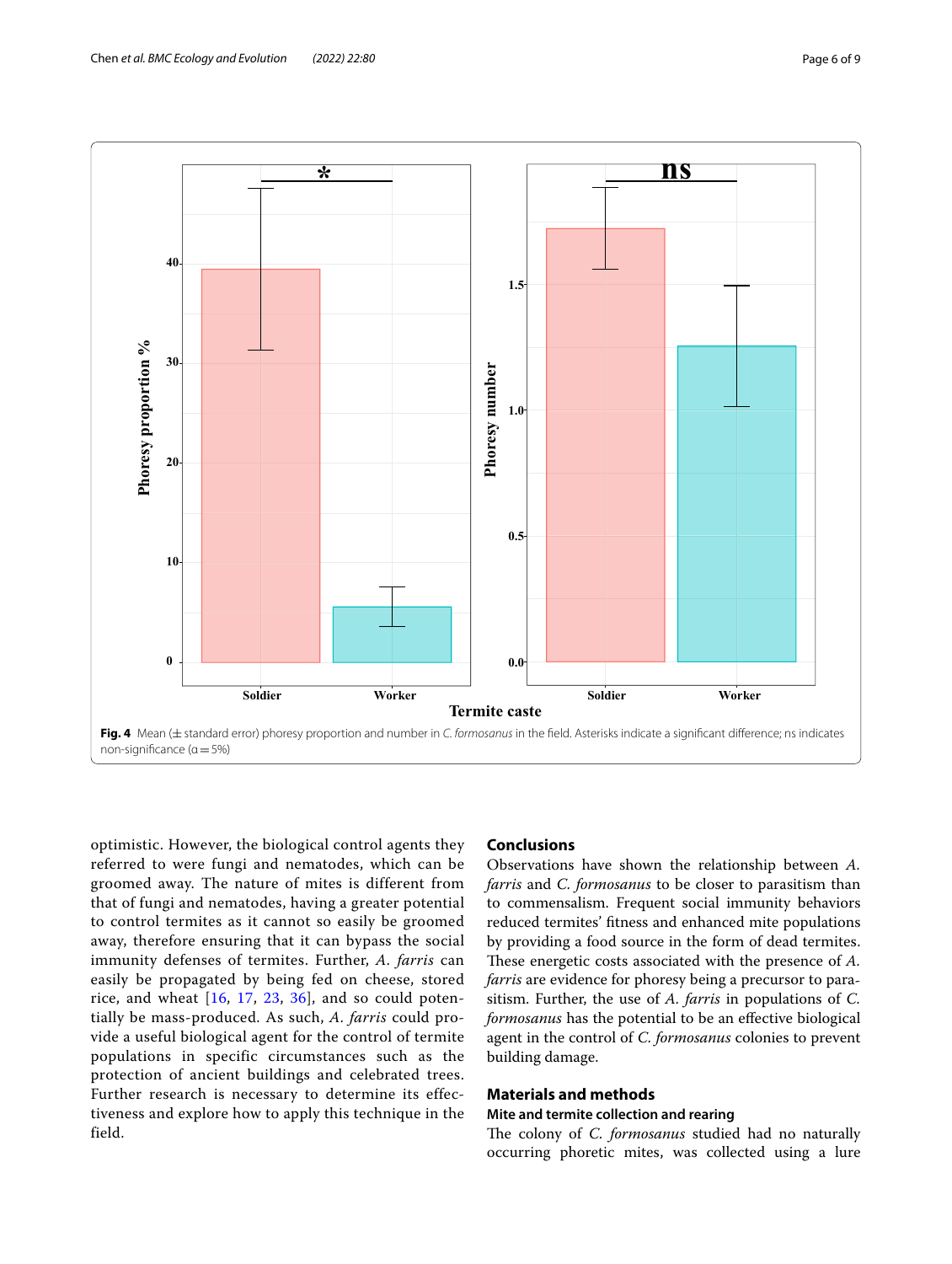

<span id="page-5-0"></span>optimistic. However, the biological control agents they referred to were fungi and nematodes, which can be groomed away. The nature of mites is different from that of fungi and nematodes, having a greater potential to control termites as it cannot so easily be groomed away, therefore ensuring that it can bypass the social immunity defenses of termites. Further, *A. farris* can easily be propagated by being fed on cheese, stored rice, and wheat  $[16, 17, 23, 36]$  $[16, 17, 23, 36]$  $[16, 17, 23, 36]$  $[16, 17, 23, 36]$  $[16, 17, 23, 36]$  $[16, 17, 23, 36]$  $[16, 17, 23, 36]$  $[16, 17, 23, 36]$ , and so could potentially be mass-produced. As such, *A. farris* could provide a useful biological agent for the control of termite populations in specific circumstances such as the protection of ancient buildings and celebrated trees. Further research is necessary to determine its effectiveness and explore how to apply this technique in the field.

# **Conclusions**

Observations have shown the relationship between *A. farris* and *C. formosanus* to be closer to parasitism than to commensalism. Frequent social immunity behaviors reduced termites' ftness and enhanced mite populations by providing a food source in the form of dead termites. These energetic costs associated with the presence of *A*. *farris* are evidence for phoresy being a precursor to parasitism. Further, the use of *A. farris* in populations of *C. formosanus* has the potential to be an efective biological agent in the control of *C. formosanus* colonies to prevent building damage.

# **Materials and methods**

# **Mite and termite collection and rearing**

The colony of *C. formosanus* studied had no naturally occurring phoretic mites, was collected using a lure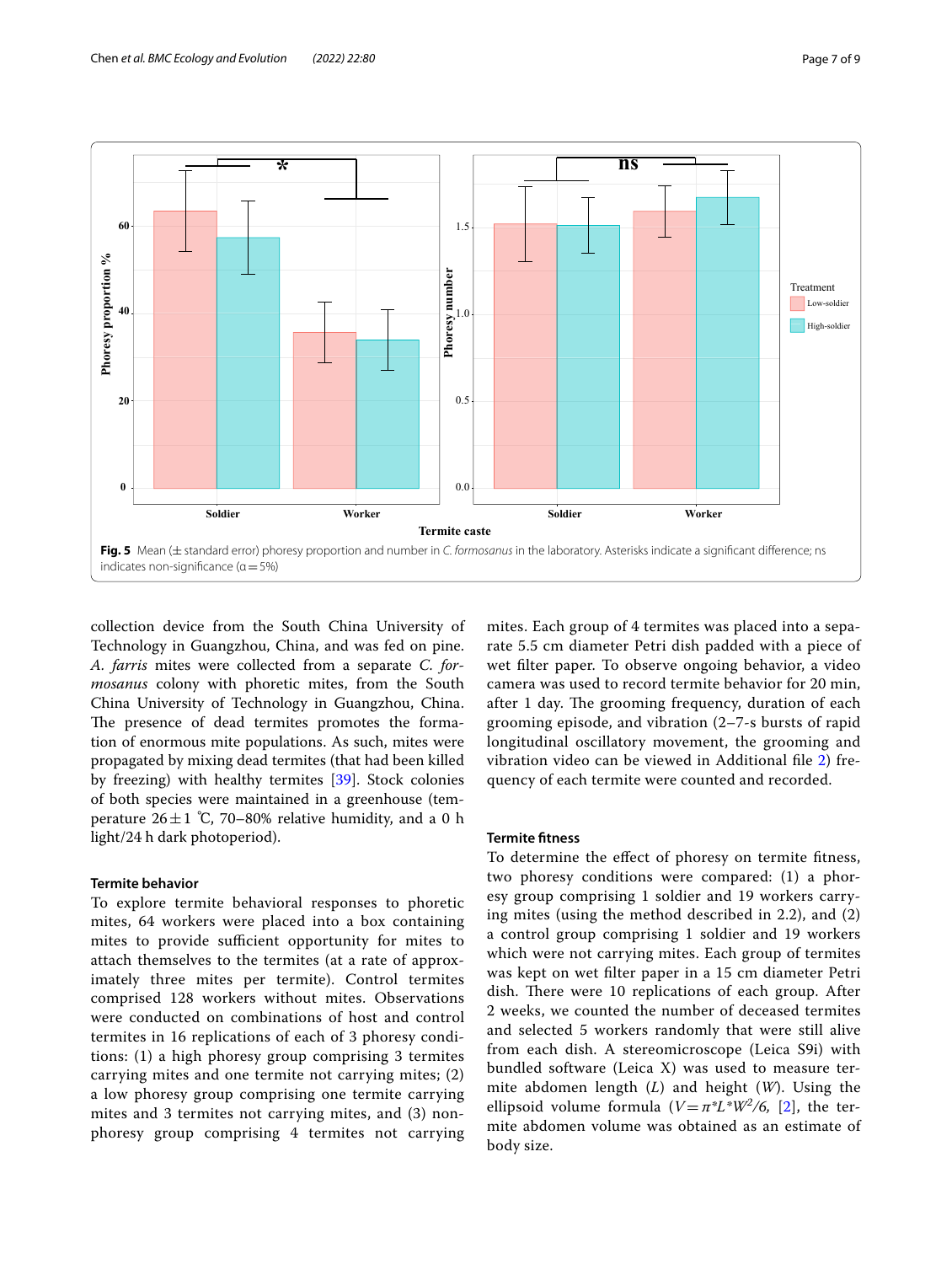

<span id="page-6-0"></span>collection device from the South China University of Technology in Guangzhou, China, and was fed on pine. *A. farris* mites were collected from a separate *C. formosanus* colony with phoretic mites, from the South China University of Technology in Guangzhou, China. The presence of dead termites promotes the formation of enormous mite populations. As such, mites were propagated by mixing dead termites (that had been killed by freezing) with healthy termites [\[39\]](#page-8-9). Stock colonies of both species were maintained in a greenhouse (temperature  $26 \pm 1$  °C, 70–80% relative humidity, and a 0 h light/24 h dark photoperiod).

#### **Termite behavior**

To explore termite behavioral responses to phoretic mites, 64 workers were placed into a box containing mites to provide sufficient opportunity for mites to attach themselves to the termites (at a rate of approximately three mites per termite). Control termites comprised 128 workers without mites. Observations were conducted on combinations of host and control termites in 16 replications of each of 3 phoresy conditions: (1) a high phoresy group comprising 3 termites carrying mites and one termite not carrying mites; (2) a low phoresy group comprising one termite carrying mites and 3 termites not carrying mites, and (3) nonphoresy group comprising 4 termites not carrying mites. Each group of 4 termites was placed into a separate 5.5 cm diameter Petri dish padded with a piece of wet flter paper. To observe ongoing behavior, a video camera was used to record termite behavior for 20 min, after 1 day. The grooming frequency, duration of each grooming episode, and vibration (2–7-s bursts of rapid longitudinal oscillatory movement, the grooming and vibration video can be viewed in Additional fle [2\)](#page-7-2) frequency of each termite were counted and recorded.

## **Termite ftness**

To determine the efect of phoresy on termite ftness, two phoresy conditions were compared: (1) a phoresy group comprising 1 soldier and 19 workers carrying mites (using the method described in 2.2), and (2) a control group comprising 1 soldier and 19 workers which were not carrying mites. Each group of termites was kept on wet flter paper in a 15 cm diameter Petri dish. There were 10 replications of each group. After 2 weeks, we counted the number of deceased termites and selected 5 workers randomly that were still alive from each dish. A stereomicroscope (Leica S9i) with bundled software (Leica X) was used to measure termite abdomen length (*L*) and height (*W*). Using the ellipsoid volume formula  $(V = \pi^*L^*W^2/6, [2]$  $(V = \pi^*L^*W^2/6, [2]$  $(V = \pi^*L^*W^2/6, [2]$ , the termite abdomen volume was obtained as an estimate of body size.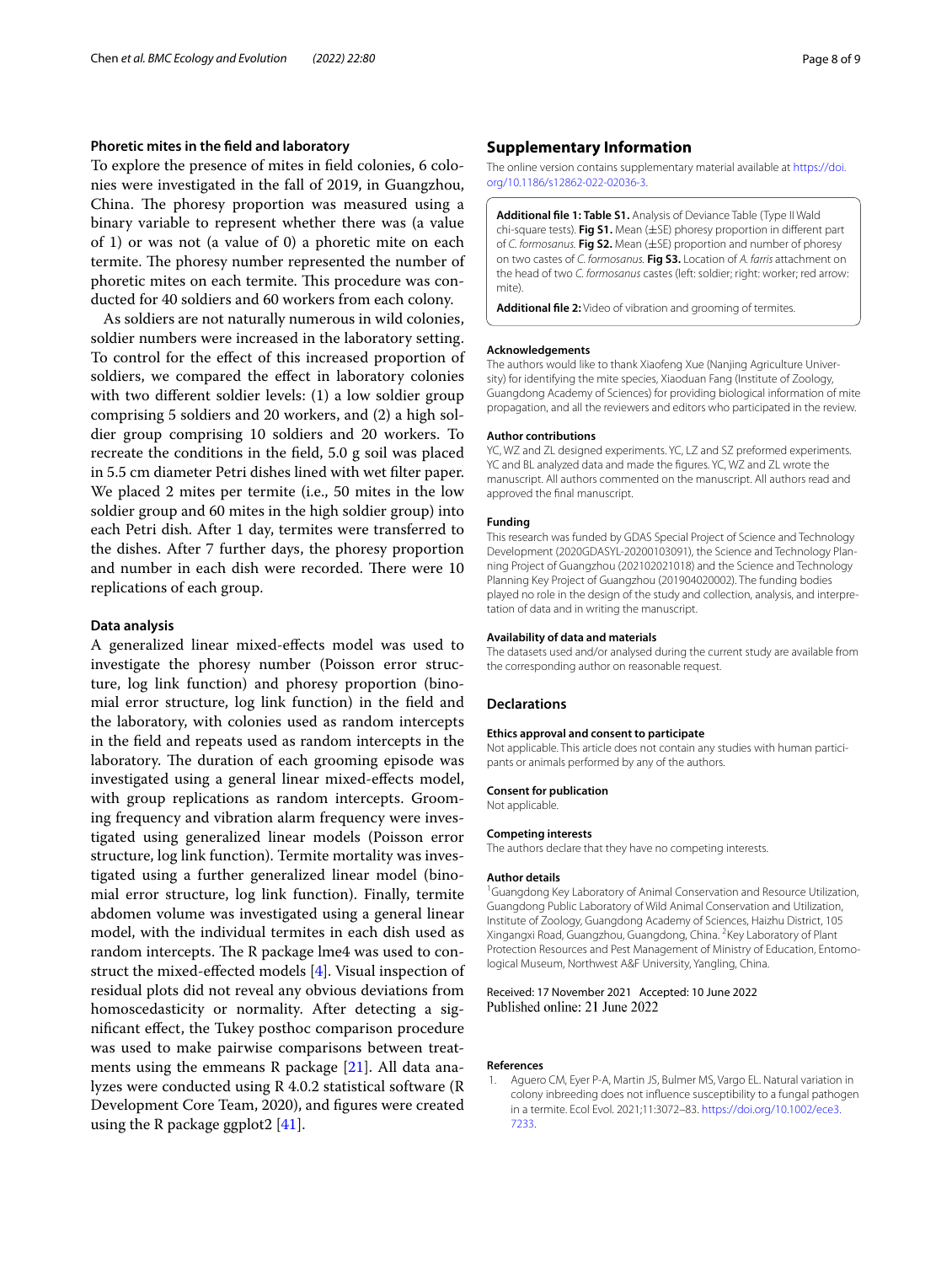## **Phoretic mites in the feld and laboratory**

To explore the presence of mites in feld colonies, 6 colonies were investigated in the fall of 2019, in Guangzhou, China. The phoresy proportion was measured using a binary variable to represent whether there was (a value of 1) or was not (a value of 0) a phoretic mite on each termite. The phoresy number represented the number of phoretic mites on each termite. This procedure was conducted for 40 soldiers and 60 workers from each colony.

As soldiers are not naturally numerous in wild colonies, soldier numbers were increased in the laboratory setting. To control for the efect of this increased proportion of soldiers, we compared the efect in laboratory colonies with two diferent soldier levels: (1) a low soldier group comprising 5 soldiers and 20 workers, and (2) a high soldier group comprising 10 soldiers and 20 workers. To recreate the conditions in the feld, 5.0 g soil was placed in 5.5 cm diameter Petri dishes lined with wet flter paper. We placed 2 mites per termite (i.e., 50 mites in the low soldier group and 60 mites in the high soldier group) into each Petri dish. After 1 day, termites were transferred to the dishes. After 7 further days, the phoresy proportion and number in each dish were recorded. There were 10 replications of each group.

### **Data analysis**

A generalized linear mixed-efects model was used to investigate the phoresy number (Poisson error structure, log link function) and phoresy proportion (binomial error structure, log link function) in the feld and the laboratory, with colonies used as random intercepts in the feld and repeats used as random intercepts in the laboratory. The duration of each grooming episode was investigated using a general linear mixed-efects model, with group replications as random intercepts. Grooming frequency and vibration alarm frequency were investigated using generalized linear models (Poisson error structure, log link function). Termite mortality was investigated using a further generalized linear model (binomial error structure, log link function). Finally, termite abdomen volume was investigated using a general linear model, with the individual termites in each dish used as random intercepts. The R package lme4 was used to construct the mixed-efected models [\[4](#page-8-38)]. Visual inspection of residual plots did not reveal any obvious deviations from homoscedasticity or normality. After detecting a signifcant efect, the Tukey posthoc comparison procedure was used to make pairwise comparisons between treatments using the emmeans R package [[21\]](#page-8-39). All data analyzes were conducted using R 4.0.2 statistical software (R Development Core Team, 2020), and fgures were created using the R package ggplot2 [[41\]](#page-8-40).

## **Supplementary Information**

The online version contains supplementary material available at [https://doi.](https://doi.org/10.1186/s12862-022-02036-3) [org/10.1186/s12862-022-02036-3](https://doi.org/10.1186/s12862-022-02036-3).

<span id="page-7-1"></span>**Additional fle 1: Table S1.** Analysis of Deviance Table (Type II Wald chi-square tests). **Fig S1.** Mean (±SE) phoresy proportion in diferent part of *C. formosanus.* **Fig S2.** Mean (±SE) proportion and number of phoresy on two castes of *C. formosanus.* **Fig S3.** Location of *A. farris* attachment on the head of two *C. formosanus* castes (left: soldier; right: worker; red arrow: mite).

<span id="page-7-2"></span>**Additional fle 2:** Video of vibration and grooming of termites.

#### **Acknowledgements**

The authors would like to thank Xiaofeng Xue (Nanjing Agriculture University) for identifying the mite species, Xiaoduan Fang (Institute of Zoology, Guangdong Academy of Sciences) for providing biological information of mite propagation, and all the reviewers and editors who participated in the review.

#### **Author contributions**

YC, WZ and ZL designed experiments. YC, LZ and SZ preformed experiments. YC and BL analyzed data and made the fgures. YC, WZ and ZL wrote the manuscript. All authors commented on the manuscript. All authors read and approved the fnal manuscript.

#### **Funding**

This research was funded by GDAS Special Project of Science and Technology Development (2020GDASYL-20200103091), the Science and Technology Planning Project of Guangzhou (202102021018) and the Science and Technology Planning Key Project of Guangzhou (201904020002). The funding bodies played no role in the design of the study and collection, analysis, and interpretation of data and in writing the manuscript.

#### **Availability of data and materials**

The datasets used and/or analysed during the current study are available from the corresponding author on reasonable request.

#### **Declarations**

#### **Ethics approval and consent to participate**

Not applicable. This article does not contain any studies with human participants or animals performed by any of the authors.

#### **Consent for publication** Not applicable.

**Competing interests**

The authors declare that they have no competing interests.

#### **Author details**

<sup>1</sup> Guangdong Key Laboratory of Animal Conservation and Resource Utilization, Guangdong Public Laboratory of Wild Animal Conservation and Utilization, Institute of Zoology, Guangdong Academy of Sciences, Haizhu District, 105 Xingangxi Road, Guangzhou, Guangdong, China. 2 Key Laboratory of Plant Protection Resources and Pest Management of Ministry of Education, Entomological Museum, Northwest A&F University, Yangling, China.

#### Received: 17 November 2021 Accepted: 10 June 2022 Published online: 21 June 2022

#### **References**

<span id="page-7-0"></span>1. Aguero CM, Eyer P-A, Martin JS, Bulmer MS, Vargo EL. Natural variation in colony inbreeding does not infuence susceptibility to a fungal pathogen in a termite. Ecol Evol. 2021;11:3072–83. [https://doi.org/10.1002/ece3.](https://doi.org/10.1002/ece3.7233) [7233](https://doi.org/10.1002/ece3.7233).